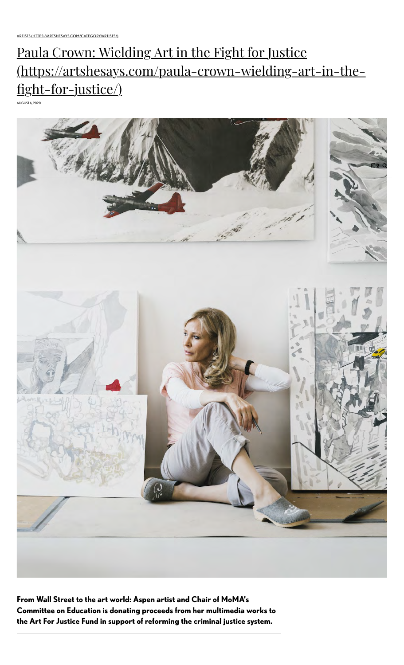# Paula Crown: Wielding Art in the Fight for Justice [\(https://artshesays.com/paula-crown-wielding-art-in-the](https://artshesays.com/paula-crown-wielding-art-in-the-fight-for-justice/)fight-for-justice/)

AUGUST 6, 2020



**From Wall Street to the art world: Aspen artist and Chair of MoMA's Committee on Education is donating proceeds from her multimedia works to the Art For Justice Fund in support of reforming the criminal justice system.**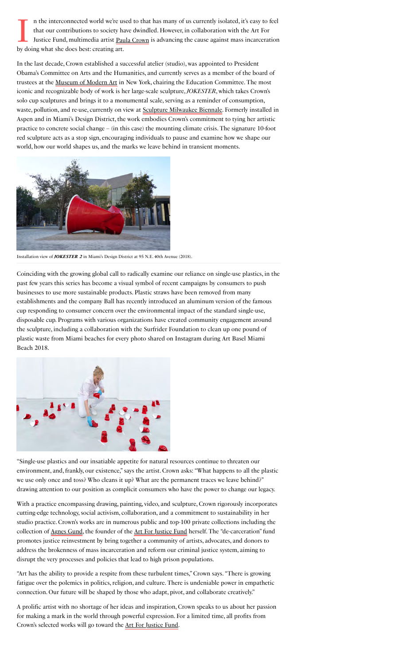In the interconnected world we're us<br>that our contributions to society has<br>Justice Fund, multimedia artist <u>Pau</u><br>by doing what she does best: creating art. n the interconnected world we're used to that has many of us currently isolated, it's easy to feel that our contributions to society have dwindled. However, in collaboration with the Art For Justice Fund, multimedia artist Paula Crown is advancing the cause against mass incarceration

In the last decade, Crown established a successful atelier (studio), was appointed to President Obama's Committee on Arts and the Humanities, and currently serves as a member of the board of trustees at the <u>Museum of Modern Art</u> in New York, chairing the Education Committee. The most iconic and recognizable body of work is her large-scale sculpture, *JOKESTER*, which takes Crown's solo cup sculptures and brings it to a monumental scale, serving as a reminder of consumption, waste, pollution, and re-use, currently on view at **Sculpture Milwaukee Biennale**. Formerly installed in Aspen and in Miami's Design District, the work embodies Crown's commitment to tying her artistic practice to concrete social change – (in this case) the mounting climate crisis. The signature 10-foot red sculpture acts as a stop sign, encouraging individuals to pause and examine how we shape our world, how our world shapes us, and the marks we leave behind in transient moments.



Installation view of **JOKESTER 2** in Miami's Design District at 95 N.E. 40th Avenue (2018).

Coinciding with the growing global call to radically examine our reliance on single-use plastics, in the past few years this series has become a visual symbol of recent campaigns by consumers to push businesses to use more sustainable products. Plastic straws have been removed from many establishments and the company Ball has recently introduced an aluminum version of the famous cup responding to consumer concern over the environmental impact of the standard single-use, disposable cup. Programs with various organizations have created community engagement around the sculpture, including a collaboration with the Surfrider Foundation to clean up one pound of plastic waste from Miami beaches for every photo shared on Instagram during Art Basel Miami Beach 2018.



"Single-use plastics and our insatiable appetite for natural resources continue to threaten our environment, and, frankly, our existence," says the artist. Crown asks: "What happens to all the plastic we use only once and toss? Who cleans it up? What are the permanent traces we leave behind?" drawing attention to our position as complicit consumers who have the power to change our legacy.

With a practice encompassing drawing, painting, video, and sculpture, Crown rigorously incorporates cutting-edge technology, social activism, collaboration, and a commitment to sustainability in her studio practice. Crown's works are in numerous public and top-100 private collections including the collectionof <u>Agnes Gund</u>, the founder of the <u>Art For Justice Fund</u> herself. The "de-carceration" fund promotes justice reinvestment by bring together a community of artists, advocates, and donors to address the brokenness of mass incarceration and reform our criminal justice system, aiming to disrupt the very processes and policies that lead to high prison populations.

"Art has the ability to provide a respite from these turbulent times," Crown says. "There is growing fatigue over the polemics in politics, religion, and culture. There is undeniable power in empathetic connection. Our future will be shaped by those who adapt, pivot, and collaborate creatively."

A prolific artist with no shortage of her ideas and inspiration, Crown speaks to us about her passion for making a mark in the world through powerful expression. For a limited time, all profits from Crown's selected works will go toward the **Art For Justice Fund**.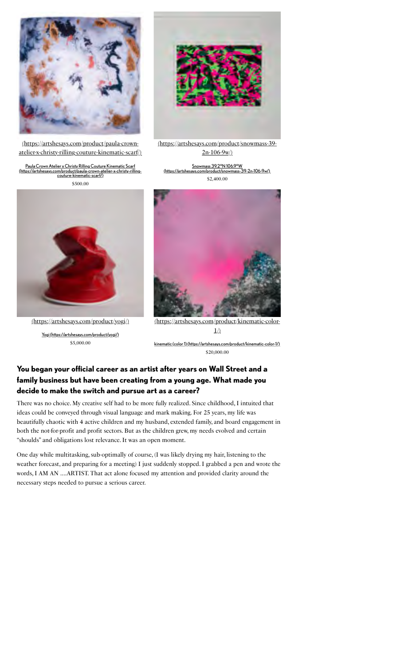

(https://artshesays.com/product/paula-crown[atelier-x-christy-rilling-couture-kinematic-scarf/\)](https://artshesays.com/product/paula-crown-atelier-x-christy-rilling-couture-kinematic-scarf/)

Paula Crown Atelier x Christy Rilling Couture Kinematic Scarf [\(https://artshesays.com/product/paula-crown-atelier-x-christy-rilling-](https://artshesays.com/product/paula-crown-atelier-x-christy-rilling-couture-kinematic-scarf/)couture-kinematic-scarf/) \$ 500.00



[\(https://artshesays.com/product/snowmass-39-](https://artshesays.com/product/snowmass-39-2n-106-9w/) 2n-106-9w/)

Snowmass 39.2°N 106.9°W [\(https://artshesays.com/product/snowmass-39-2n-106-9w/\)](https://artshesays.com/product/snowmass-39-2n-106-9w/) \$ 2,400.00



[\(https://artshesays.com/product/yogi/\)](https://artshesays.com/product/yogi/)

[Yogi \(https://artshesays.com/product/yogi/\)](https://artshesays.com/product/yogi/)  $$5,000.00$ 



[\(https://artshesays.com/product/kinematic-color-](https://artshesays.com/product/kinematic-color-1/) $1/$ 

[kinematic \(color 1\) \(https://artshesays.com/product/kinematic-color-1/\)](https://artshesays.com/product/kinematic-color-1/) \$ 20,000.00

#### **You began your official career as an artist after years on Wall Street and a family business but have been creating from a young age. What made you decide to make the switch and pursue art as a career?**

There was no choice. My creative self had to be more fully realized. Since childhood, I intuited that ideas could be conveyed through visual language and mark making. For 25 years, my life was beautifully chaotic with 4 active children and my husband, extended family, and board engagement in both the not-for-profit and profit sectors. But as the children grew, my needs evolved and certain "shoulds" and obligations lost relevance. It was an open moment.

One day while multitasking, sub-optimally of course, (I was likely drying my hair, listening to the weather forecast, and preparing for a meeting) I just suddenly stopped. I grabbed a pen and wrote the words, I AM AN ….ARTIST. That act alone focused my attention and provided clarity around the necessary steps needed to pursue a serious career.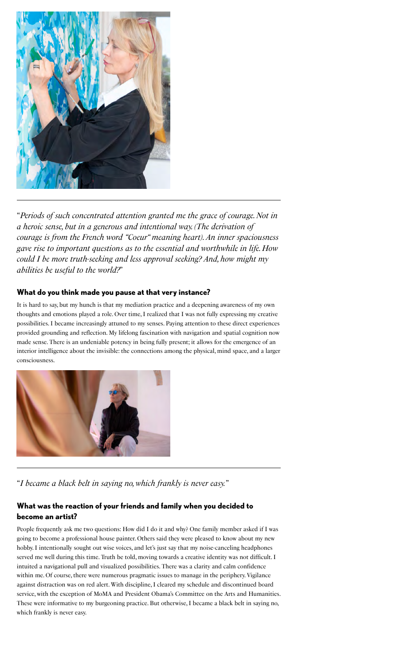

"*Periods of such concentrated attention granted me the grace of courage. Not in a heroic sense, but in a generous and intentional way. (The derivation of courage is from the French word "Coeur" meaning heart). An inner spaciousness gave rise to important questions as to the essential and worthwhile in life. How could I be more truth-seeking and less approval seeking? And, how might my abilities be useful to the world?*"

#### **What do you think made you pause at that very instance?**

It is hard to say, but my hunch is that my mediation practice and a deepening awareness of my own thoughts and emotions played a role. Over time, I realized that I was not fully expressing my creative possibilities. I became increasingly attuned to my senses. Paying attention to these direct experiences provided grounding and reflection. My lifelong fascination with navigation and spatial cognition now made sense. There is an undeniable potency in being fully present; it allows for the emergence of an interior intelligence about the invisible: the connections among the physical, mind space, and a larger consciousness.



"*I became a black belt in saying no, which frankly is never easy.*"

### **What was the reaction of your friends and family when you decided to become an artist?**

People frequently ask me two questions: How did I do it and why? One family member asked if I was going to become a professional house painter. Others said they were pleased to know about my new hobby. I intentionally sought out wise voices, and let's just say that my noise-canceling headphones served me well during this time. Truth be told, moving towards a creative identity was not difficult. I intuited a navigational pull and visualized possibilities. There was a clarity and calm confidence within me. Of course, there were numerous pragmatic issues to manage in the periphery. Vigilance against distraction was on red alert. With discipline, I cleared my schedule and discontinued board service, with the exception of MoMA and President Obama's Committee on the Arts and Humanities. These were informative to my burgeoning practice. But otherwise, I became a black belt in saying no, which frankly is never easy.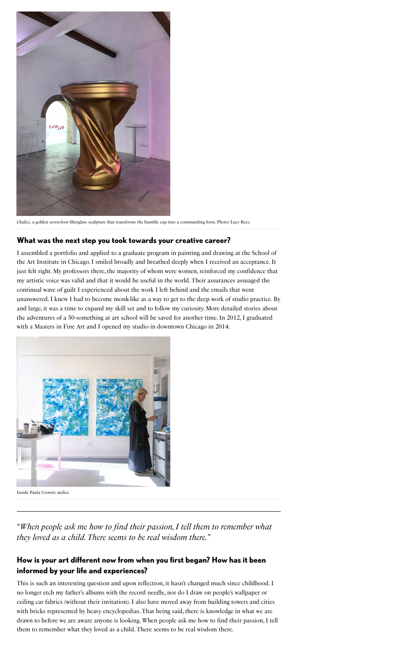

*Chalice,* a golden seven-foot fiberglass sculpture that transforms the humble cup into a commanding form. Photo: Lucy Rees.

#### **What was the next step you took towards your creative career?**

I assembled a portfolio and applied to a graduate program in painting and drawing at the School of the Art Institute in Chicago. I smiled broadly and breathed deeply when I received an acceptance. It just felt right. My professors there, the majority of whom were women, reinforced my confidence that my artistic voice was valid and that it would be useful in the world. Their assurances assuaged the continual wave of guilt I experienced about the work I left behind and the emails that went unanswered. I knew I had to become monk-like as a way to get to the deep work of studio practice. By and large, it was a time to expand my skill set and to follow my curiosity. More detailed stories about the adventures of a 50-something at art school will be saved for another time. In 2012, I graduated with a Masters in Fine Art and I opened my studio in downtown Chicago in 2014.



Inside Paula Crown's atelier.

"*When people ask me how to find their passion, I tell them to remember what they loved as a child. There seems to be real wisdom there.*"

#### **How is your art different now from when you first began? How has it been informed by your life and experiences?**

This is such an interesting question and upon reflection, it hasn't changed much since childhood. I no longer etch my father's albums with the record needle, nor do I draw on people's wallpaper or ceiling car fabrics (without their invitation). I also have moved away from building towers and cities with bricks represented by heavy encyclopedias. That being said, there is knowledge in what we are drawn to before we are aware anyone is looking. When people ask me how to find their passion, I tell them to remember what they loved as a child. There seems to be real wisdom there.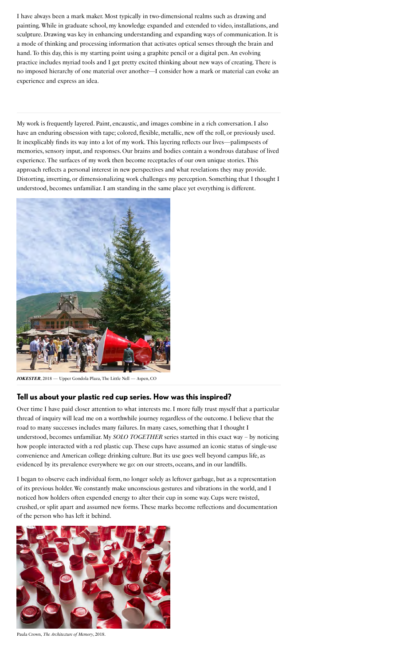I have always been a mark maker. Most typically in two-dimensional realms such as drawing and painting. While in graduate school, my knowledge expanded and extended to video, installations, and sculpture. Drawing was key in enhancing understanding and expanding ways of communication. It is a mode of thinking and processing information that activates optical senses through the brain and hand. To this day, this is my starting point using a graphite pencil or a digital pen. An evolving practice includes myriad tools and I get pretty excited thinking about new ways of creating. There is no imposed hierarchy of one material over another—I consider how a mark or material can evoke an experience and express an idea.

My work is frequently layered. Paint, encaustic, and images combine in a rich conversation. I also have an enduring obsession with tape; colored, flexible, metallic, new off the roll, or previously used. It inexplicably finds its way into a lot of my work. This layering reflects our lives—palimpsests of memories, sensory input, and responses. Our brains and bodies contain a wondrous database of lived experience. The surfaces of my work then become receptacles of our own unique stories. This approach reflects a personal interest in new perspectives and what revelations they may provide. Distorting, inverting, or dimensionalizing work challenges my perception. Something that I thought I understood, becomes unfamiliar. I am standing in the same place yet everything is different.



*JOKESTER*, 2018 — Upper Gondola Plaza, The Little Nell — Aspen, CO

#### **Tell us about your plastic red cup series. How was this inspired?**

Over time I have paid closer attention to what interests me. I more fully trust myself that a particular thread of inquiry will lead me on a worthwhile journey regardless of the outcome. I believe that the road to many successes includes many failures. In many cases, something that I thought I understood, becomes unfamiliar. My *SOLO TOGETHER* series started in this exact way – by noticing how people interacted with a red plastic cup. These cups have assumed an iconic status of single-use convenience and American college drinking culture. But its use goes well beyond campus life, as evidenced by its prevalence everywhere we go: on our streets, oceans, and in our landfills.

I began to observe each individual form, no longer solely as leftover garbage, but as a representation of its previous holder. We constantly make unconscious gestures and vibrations in the world, and I noticed how holders often expended energy to alter their cup in some way. Cups were twisted, crushed, or split apart and assumed new forms. These marks become reflections and documentation of the person who has left it behind.



Paula Crown, *The Architecture of Memory*, 2018.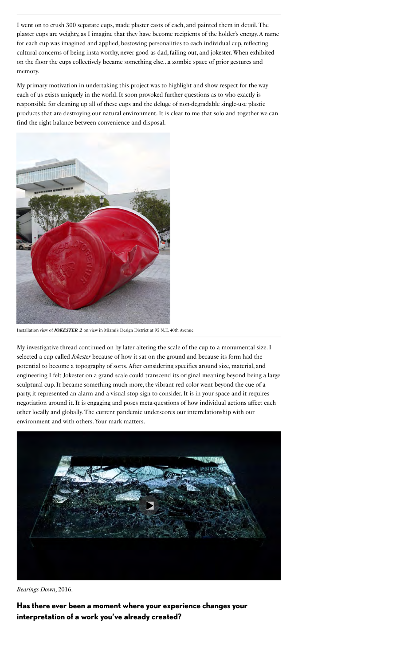I went on to crush 300 separate cups, made plaster casts of each, and painted them in detail. The plaster cups are weighty, as I imagine that they have become recipients of the holder's energy. A name for each cup was imagined and applied, bestowing personalities to each individual cup, reflecting cultural concerns of being insta worthy, never good as dad, failing out, and jokester. When exhibited on the floor the cups collectively became something else…a zombie space of prior gestures and memory.

My primary motivation in undertaking this project was to highlight and show respect for the way each of us exists uniquely in the world. It soon provoked further questions as to who exactly is responsible for cleaning up all of these cups and the deluge of non-degradable single-use plastic products that are destroying our natural environment. It is clear to me that solo and together we can find the right balance between convenience and disposal.



Installation view of *JOKESTER 2* on view in Miami's Design District at 95 N.E. 40th Avenue

My investigative thread continued on by later altering the scale of the cup to a monumental size. I selected a cup called *Jokester* because of how it sat on the ground and because its form had the potential to become a topography of sorts. After considering specifics around size, material, and engineering I felt Jokester on a grand scale could transcend its original meaning beyond being a large sculptural cup. It became something much more, the vibrant red color went beyond the cue of a party, it represented an alarm and a visual stop sign to consider. It is in your space and it requires negotiation around it. It is engaging and poses meta-questions of how individual actions affect each other locally and globally. The current pandemic underscores our interrelationship with our environment and with others. Your mark matters.



*Bearings Down*, 2016.

**Has there ever been a moment where your experience changes your interpretation of a work you've already created?**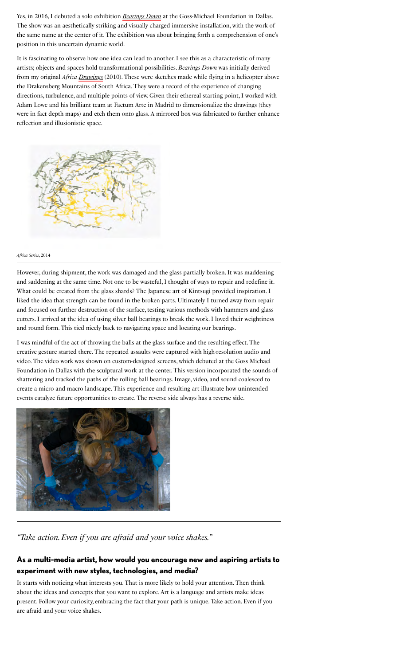Yes, in 2016, I debuted a solo exhibition *Bearings Down* at the Goss-Michael Foundation in Dallas. The show was an aesthetically striking and visually charged immersive installation, with the work of the same name at the center of it. The exhibition was about bringing forth a comprehension of one's position in this uncertain dynamic world.

It is fascinating to observe how one idea can lead to another. I see this as a characteristic of many artists; objects and spaces hold transformational possibilities. *Bearings Down* was initially derived from my original *Africa [Drawings](https://www.paulacrown.com/projects/helicopter-drawings/)* (2010). These were sketches made while flying in a helicopter above the Drakensberg Mountains of South Africa. They were a record of the experience of changing directions, turbulence, and multiple points of view. Given their ethereal starting point, I worked with Adam Lowe and his brilliant team at Factum Arte in Madrid to dimensionalize the drawings (they were in fact depth maps) and etch them onto glass. A mirrored box was fabricated to further enhance reflection and illusionistic space.



#### *Africa Series*, 2014

However, during shipment, the work was damaged and the glass partially broken. It was maddening and saddening at the same time. Not one to be wasteful, I thought of ways to repair and redefine it. What could be created from the glass shards? The Japanese art of Kintsugi provided inspiration. I liked the idea that strength can be found in the broken parts. Ultimately I turned away from repair and focused on further destruction of the surface, testing various methods with hammers and glass cutters. I arrived at the idea of using silver ball bearings to break the work. I loved their weightiness and round form. This tied nicely back to navigating space and locating our bearings.

I was mindful of the act of throwing the balls at the glass surface and the resulting effect. The creative gesture started there. The repeated assaults were captured with high-resolution audio and video. The video work was shown on custom-designed screens, which debuted at the Goss Michael Foundation in Dallas with the sculptural work at the center. This version incorporated the sounds of shattering and tracked the paths of the rolling ball bearings. Image, video, and sound coalesced to create a micro and macro landscape. This experience and resulting art illustrate how unintended events catalyze future opportunities to create. The reverse side always has a reverse side.



*"Take action. Even if you are afraid and your voice shakes.*"

### **As a multi-media artist, how would you encourage new and aspiring artists to experiment with new styles, technologies, and media?**

It starts with noticing what interests you. That is more likely to hold your attention. Then think about the ideas and concepts that you want to explore. Art is a language and artists make ideas present. Follow your curiosity, embracing the fact that your path is unique. Take action. Even if you are afraid and your voice shakes.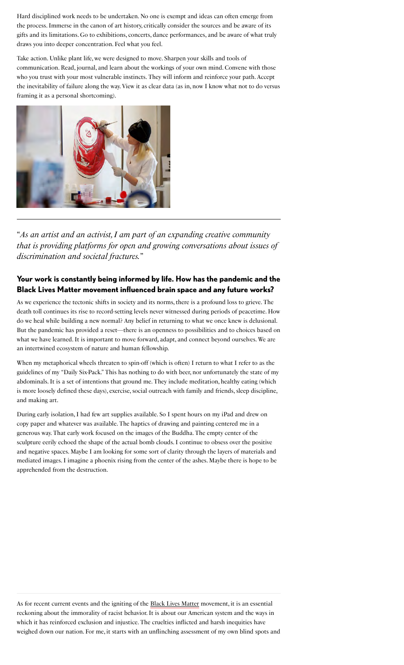Hard disciplined work needs to be undertaken. No one is exempt and ideas can often emerge from the process. Immerse in the canon of art history, critically consider the sources and be aware of its gifts and its limitations. Go to exhibitions, concerts, dance performances, and be aware of what truly draws you into deeper concentration. Feel what you feel.

Take action. Unlike plant life, we were designed to move. Sharpen your skills and tools of communication. Read, journal, and learn about the workings of your own mind. Convene with those who you trust with your most vulnerable instincts. They will inform and reinforce your path. Accept the inevitability of failure along the way. View it as clear data (as in, now I know what not to do versus framing it as a personal shortcoming).



"*As an artist and an activist, I am part of an expanding creative community that is providing platforms for open and growing conversations about issues of discrimination and societal fractures.*"

# **Your work is constantly being informed by life. How has the pandemic and the Black Lives Matter movement influenced brain space and any future works?**

As we experience the tectonic shifts in society and its norms, there is a profound loss to grieve. The death toll continues its rise to record-setting levels never witnessed during periods of peacetime. How do we heal while building a new normal? Any belief in returning to what we once knew is delusional. But the pandemic has provided a reset—there is an openness to possibilities and to choices based on what we have learned. It is important to move forward, adapt, and connect beyond ourselves. We are an intertwined ecosystem of nature and human fellowship.

When my metaphorical wheels threaten to spin-off (which is often) I return to what I refer to as the guidelines of my "Daily Six-Pack." This has nothing to do with beer, nor unfortunately the state of my abdominals. It is a set of intentions that ground me. They include meditation, healthy eating (which is more loosely defined these days), exercise, social outreach with family and friends, sleep discipline, and making art.

During early isolation, I had few art supplies available. So I spent hours on my iPad and drew on copy paper and whatever was available. The haptics of drawing and painting centered me in a generous way. That early work focused on the images of the Buddha. The empty center of the sculpture eerily echoed the shape of the actual bomb clouds. I continue to obsess over the positive and negative spaces. Maybe I am looking for some sort of clarity through the layers of materials and mediated images. I imagine a phoenix rising from the center of the ashes. Maybe there is hope to be apprehended from the destruction.

As for recent current events and the igniting of the **Black Lives Matter** movement, it is an essential reckoning about the immorality of racist behavior. It is about our American system and the ways in which it has reinforced exclusion and injustice. The cruelties inflicted and harsh inequities have weighed down our nation. For me, it starts with an unflinching assessment of my own blind spots and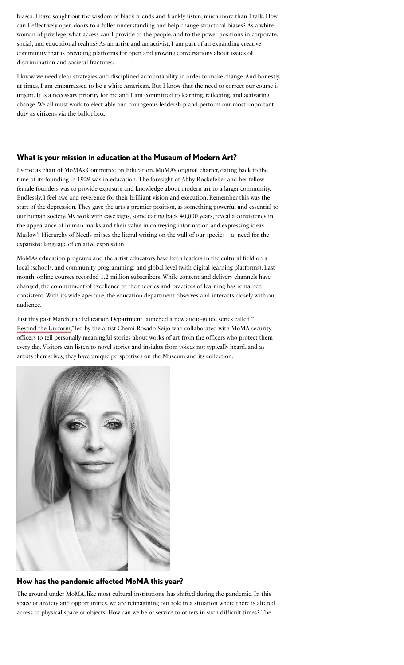biases. I have sought out the wisdom of black friends and frankly listen, much more than I talk. How can I effectively open doors to a fuller understanding and help change structural biases? As a white woman of privilege, what access can I provide to the people, and to the power positions in corporate, social, and educational realms? As an artist and an activist, I am part of an expanding creative community that is providing platforms for open and growing conversations about issues of discrimination and societal fractures.

I know we need clear strategies and disciplined accountability in order to make change. And honestly, at times, I am embarrassed to be a white American. But I know that the need to correct our course is urgent. It is a necessary priority for me and I am committed to learning, reflecting, and activating change. We all must work to elect able and courageous leadership and perform our most important duty as citizens via the ballot box.

#### **What is your mission in education at the Museum of Modern Art?**

I serve as chair of MoMA's Committee on Education. MoMA's original charter, dating back to the time of its founding in 1929 was in education. The foresight of Abby Rockefeller and her fellow female founders was to provide exposure and knowledge about modern art to a larger community. Endlessly, I feel awe and reverence for their brilliant vision and execution. Remember this was the start of the depression. They gave the arts a premier position, as something powerful and essential to our human society. My work with cave signs, some dating back 40,000 years, reveal a consistency in the appearance of human marks and their value in conveying information and expressing ideas. Maslow's Hierarchy of Needs misses the literal writing on the wall of our species—a need for the expansive language of creative expression.

MoMA's education programs and the artist educators have been leaders in the cultural field on a local (schools, and community programming) and global level (with digital learning platforms). Last month, online courses recorded 1.2 million subscribers. While content and delivery channels have changed, the commitment of excellence to the theories and practices of learning has remained consistent. With its wide aperture, the education department observes and interacts closely with our audience.

Just this past March, the Education Department launched a new audio-guide series called " [Beyond the Uniform](https://www.moma.org/audio/playlist/307)," led by the artist Chemi Rosado Seijo who collaborated with MoMA security officers to tell personally meaningful stories about works of art from the officers who protect them every day. Visitors can listen to novel stories and insights from voices not typically heard, and as artists themselves, they have unique perspectives on the Museum and its collection.



#### **How has the pandemic affected MoMA this year?**

The ground under MoMA, like most cultural institutions, has shifted during the pandemic. In this space of anxiety and opportunities, we are reimagining our role in a situation where there is altered access to physical space or objects. How can we be of service to others in such difficult times? The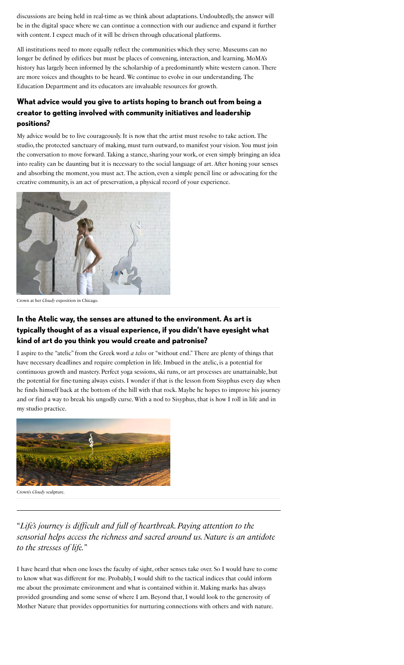discussions are being held in real-time as we think about adaptations. Undoubtedly, the answer will be in the digital space where we can continue a connection with our audience and expand it further with content. I expect much of it will be driven through educational platforms.

All institutions need to more equally reflect the communities which they serve. Museums can no longer be defined by edifices but must be places of convening, interaction, and learning. MoMA's history has largely been informed by the scholarship of a predominantly white western canon. There are more voices and thoughts to be heard. We continue to evolve in our understanding. The Education Department and its educators are invaluable resources for growth.

# **What advice would you give to artists hoping to branch out from being a creator to getting involved with community initiatives and leadership positions?**

My advice would be to live courageously. It is now that the artist must resolve to take action. The studio, the protected sanctuary of making, must turn outward, to manifest your vision. You must join the conversation to move forward. Taking a stance, sharing your work, or even simply bringing an idea into reality can be daunting but it is necessary to the social language of art. After honing your senses and absorbing the moment, you must act. The action, even a simple pencil line or advocating for the creative community, is an act of preservation, a physical record of your experience.



Crown at her *Cloudy* exposition in Chicago.

# **In the Atelic way, the senses are attuned to the environment. As art is typically thought of as a visual experience, if you didn't have eyesight what kind of art do you think you would create and patronise?**

I aspire to the "atelic" from the Greek word *a telos* or "without end." There are plenty of things that have necessary deadlines and require completion in life. Imbued in the atelic, is a potential for continuous growth and mastery. Perfect yoga sessions, ski runs, or art processes are unattainable, but the potential for fine-tuning always exists. I wonder if that is the lesson from Sisyphus every day when he finds himself back at the bottom of the hill with that rock. Maybe he hopes to improve his journey and or find a way to break his ungodly curse. With a nod to Sisyphus, that is how I roll in life and in my studio practice.



Crown's *Cloudy* sculpture.

# "*Life's journey is difficult and full of heartbreak. Paying attention to the sensorial helps access the richness and sacred around us. Nature is an antidote to the stresses of life.*"

I have heard that when one loses the faculty of sight, other senses take over. So I would have to come to know what was different for me. Probably, I would shift to the tactical indices that could inform me about the proximate environment and what is contained within it. Making marks has always provided grounding and some sense of where I am. Beyond that, I would look to the generosity of Mother Nature that provides opportunities for nurturing connections with others and with nature.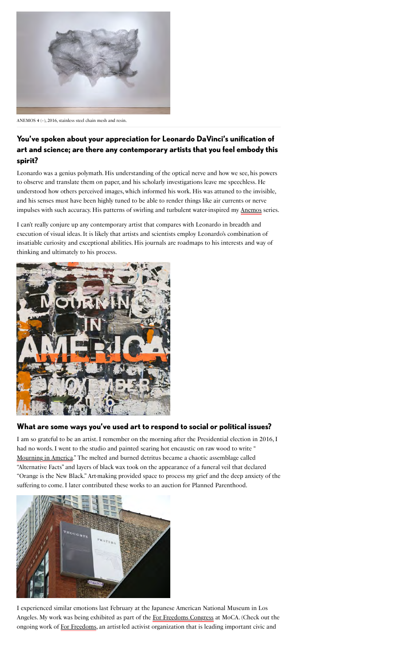

ANEMOS 4 (+), 2016, stainless steel chain mesh and resin.

# **You've spoken about your appreciation for Leonardo DaVinci's unification of art and science; are there any contemporary artists that you feel embody this spirit?**

Leonardo was a genius polymath. His understanding of the optical nerve and how we see, his powers to observe and translate them on paper, and his scholarly investigations leave me speechless. He understood how others perceived images, which informed his work. His was attuned to the invisible, and his senses must have been highly tuned to be able to render things like air currents or nerve impulses with such accuracy. His patterns of swirling and turbulent water-inspired my **Anemos** series.

I can't really conjure up any contemporary artist that compares with Leonardo in breadth and execution of visual ideas. It is likely that artists and scientists employ Leonardo's combination of insatiable curiosity and exceptional abilities. His journals are roadmaps to his interests and way of thinking and ultimately to his process.



#### **What are some ways you've used art to respond to social or political issues?**

I am so grateful to be an artist. I remember on the morning after the Presidential election in 2016, I had no words. I went to the studio and painted searing hot encaustic on raw wood to write " [Mourning in America](https://www.paulacrown.com/projects/mourning-in-america/)." The melted and burned detritus became a chaotic assemblage called "Alternative Facts" and layers of black wax took on the appearance of a funeral veil that declared "Orange is the New Black." Art-making provided space to process my grief and the deep anxiety of the suffering to come. I later contributed these works to an auction for Planned Parenthood.



I experienced similar emotions last February at the Japanese American National Museum in Los Angeles.My work was being exhibited as part of the For Freedoms Congress at MoCA. (Check out the ongoing work of For Freedoms[,](https://forfreedoms.org/) an artist-led activist organization that is leading important civic and